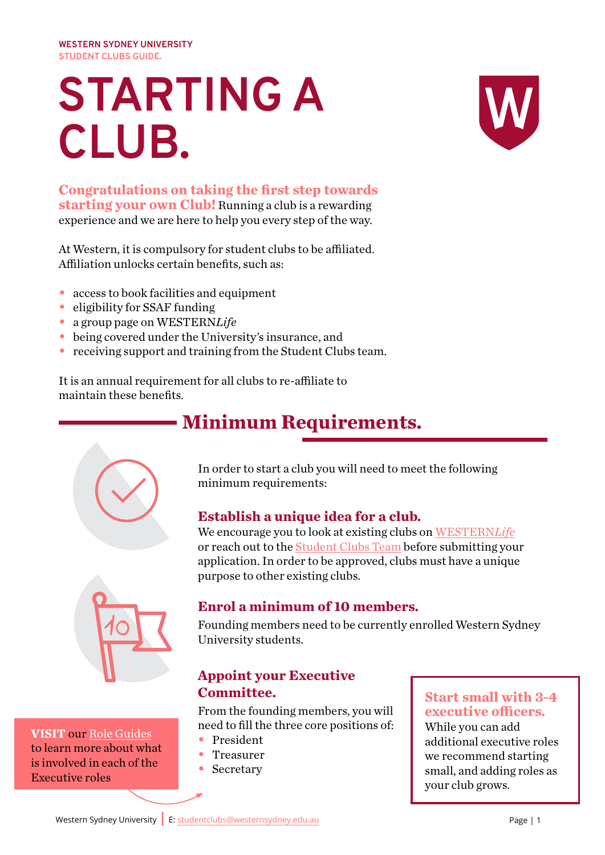**WESTERN SYDNEY UNIVERSITY STUDENT CLUBS GUIDE.**

# **STARTING A CLUB.**



**Congratulations on taking the first step towards starting your own Club!** Running a club is a rewarding experience and we are here to help you every step of the way.

At Western, it is compulsory for student clubs to be affiliated. Affiliation unlocks certain benefits, such as:

- **•** access to book facilities and equipment
- eligibility for SSAF funding
- **•** a group page on WESTERN*Life*
- **•** being covered under the University's insurance, and
- **•** receiving support and training from the Student Clubs team.

It is an annual requirement for all clubs to re-affiliate to maintain these benefits.

# **Minimum Requirements.**



In order to start a club you will need to meet the following minimum requirements:

### **Establish a unique idea for a club.**

We encourage you to look at existing clubs on [WESTERN](https://life.westernsydney.edu.au/club_signup)*Life* or reach out to the [Student Clubs Team](mailto:StudentClubs%40westernsydney.edu.au?subject=Starting%20a%20New%20Club) before submitting your application. In order to be approved, clubs must have a unique purpose to other existing clubs.



**VISIT** our [Role Guides](https://au.cglink.me/2ih/fff49f7dbbea2132d8ecc9962c976bc77f6e788f3fd9f4d8863a660c9cef1ac41) to learn more about what is involved in each of the Executive roles

### **Enrol a minimum of 10 members.**

Founding members need to be currently enrolled Western Sydney University students.

### **Appoint your Executive Committee.**

From the founding members, you will need to fill the three core positions of:

- **•** President
- **•** Treasurer
- **•** Secretary

### **Start small with 3-4 executive officers.**

While you can add additional executive roles we recommend starting small, and adding roles as your club grows.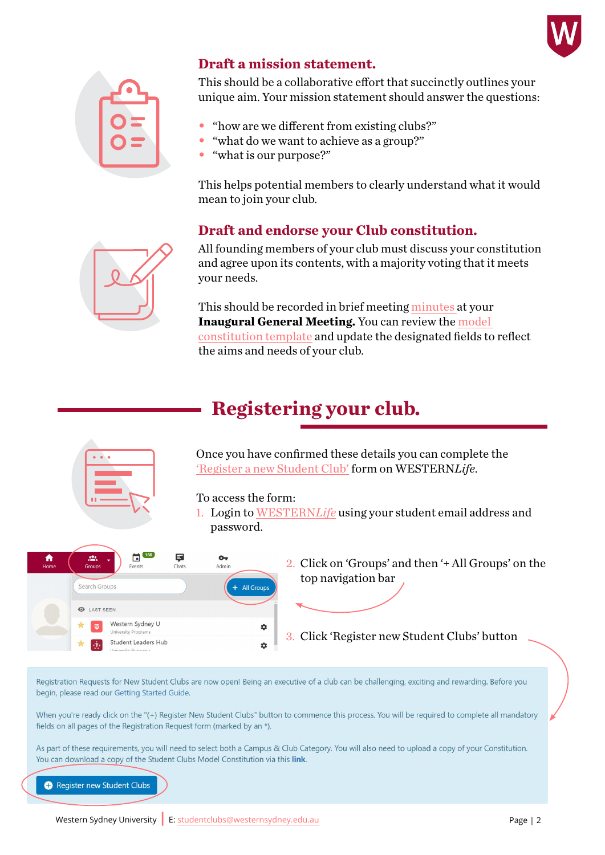



#### **Draft a mission statement.**

This should be a collaborative effort that succinctly outlines your unique aim. Your mission statement should answer the questions:

- **•** "how are we different from existing clubs?"
- "what do we want to achieve as a group?"
- **•** "what is our purpose?"

This helps potential members to clearly understand what it would mean to join your club.

### **Draft and endorse your Club constitution.**

All founding members of your club must discuss your constitution and agree upon its contents, with a majority voting that it meets your needs.

This should be recorded in brief meeting [minutes a](https://au.cglink.me/2ih/fff49f7dbbea2132d8ecc9962c976bc77f6e788f3fd9f4d8863a660c9cef1ac41)t your **Inaugural General Meeting.** You can review the [model](https://au.cglink.me/2ih/fff49f7dbbea2132d8ecc9962c976bc77f6e788f3fd9f4d8863a660c9cef1ac41)  [constitution template](https://au.cglink.me/2ih/fff49f7dbbea2132d8ecc9962c976bc77f6e788f3fd9f4d8863a660c9cef1ac41) and update the designated fields to reflect the aims and needs of your club.

# **Registering your club.**



Registration Reguests for New Student Clubs are now open! Being an executive of a club can be challenging, exciting and rewarding. Before you begin, please read our Getting Started Guide.

When you're ready click on the "(+) Register New Student Clubs" button to commence this process. You will be required to complete all mandatory fields on all pages of the Registration Request form (marked by an \*).

As part of these requirements, you will need to select both a Campus & Club Category. You will also need to upload a copy of your Constitution. You can download a copy of the Student Clubs Model Constitution via this link.

Register new Student Clubs